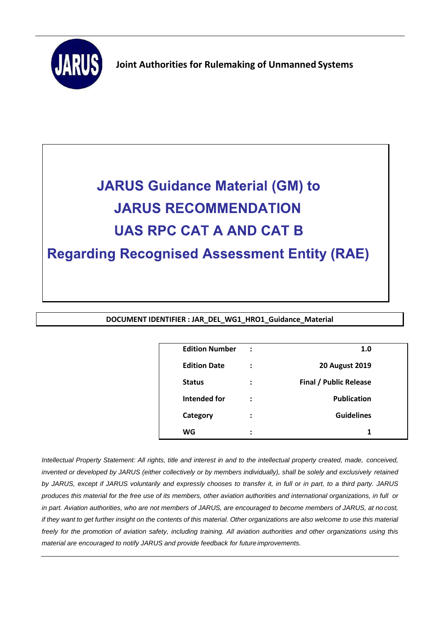

**Joint Authorities for Rulemaking of Unmanned Systems**



**DOCUMENT IDENTIFIER : JAR\_DEL\_WG1\_HRO1\_Guidance\_Material**

| <b>Edition Number</b> | $\ddot{\cdot}$      | 1.0                           |  |
|-----------------------|---------------------|-------------------------------|--|
| <b>Edition Date</b>   | :                   | <b>20 August 2019</b>         |  |
| <b>Status</b>         | ፡                   | <b>Final / Public Release</b> |  |
| Intended for          | :                   | <b>Publication</b>            |  |
| Category              | $\ddot{\cdot}$      | <b>Guidelines</b>             |  |
| WG                    | ٠<br>$\blacksquare$ | 1                             |  |

*Intellectual Property Statement: All rights, title and interest in and to the intellectual property created, made, conceived, invented or developed by JARUS (either collectively or by members individually), shall be solely and exclusively retained*  by JARUS, except if JARUS voluntarily and expressly chooses to transfer it, in full or in part, to a third party. JARUS *produces this material for the free use of its members, other aviation authorities and international organizations, in full or in part. Aviation authorities, who are not members of JARUS, are encouraged to become members of JARUS, at no cost,*  if they want to get further insight on the contents of this material. Other organizations are also welcome to use this material freely for the promotion of aviation safety, including training. All aviation authorities and other organizations using this *material are encouraged to notify JARUS and provide feedback for future improvements.*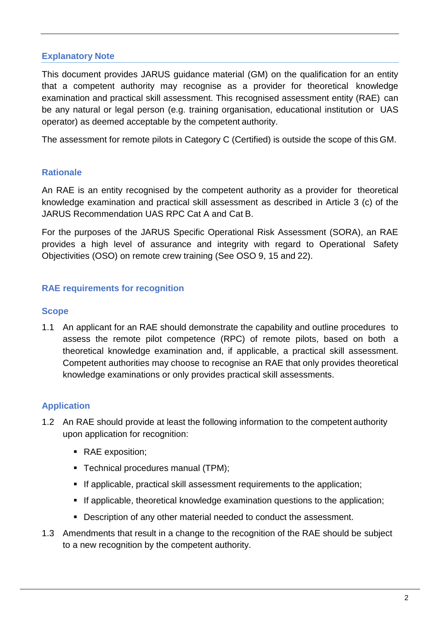### **Explanatory Note**

This document provides JARUS guidance material (GM) on the qualification for an entity that a competent authority may recognise as a provider for theoretical knowledge examination and practical skill assessment. This recognised assessment entity (RAE) can be any natural or legal person (e.g. training organisation, educational institution or UAS operator) as deemed acceptable by the competent authority.

The assessment for remote pilots in Category C (Certified) is outside the scope of this GM.

## **Rationale**

An RAE is an entity recognised by the competent authority as a provider for theoretical knowledge examination and practical skill assessment as described in Article 3 (c) of the JARUS Recommendation UAS RPC Cat A and Cat B.

For the purposes of the JARUS Specific Operational Risk Assessment (SORA), an RAE provides a high level of assurance and integrity with regard to Operational Safety Objectivities (OSO) on remote crew training (See OSO 9, 15 and 22).

# **RAE requirements for recognition**

### **Scope**

1.1 An applicant for an RAE should demonstrate the capability and outline procedures to assess the remote pilot competence (RPC) of remote pilots, based on both a theoretical knowledge examination and, if applicable, a practical skill assessment. Competent authorities may choose to recognise an RAE that only provides theoretical knowledge examinations or only provides practical skill assessments.

### **Application**

- 1.2 An RAE should provide at least the following information to the competent authority upon application for recognition:
	- RAE exposition;
	- Technical procedures manual (TPM);
	- If applicable, practical skill assessment requirements to the application;
	- **If applicable, theoretical knowledge examination questions to the application;**
	- Description of any other material needed to conduct the assessment.
- 1.3 Amendments that result in a change to the recognition of the RAE should be subject to a new recognition by the competent authority.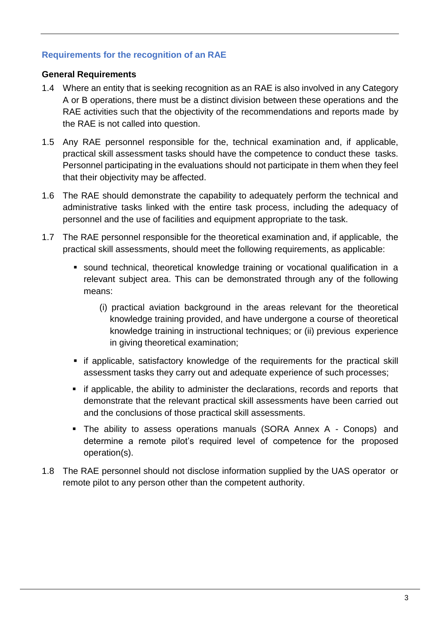## **Requirements for the recognition of an RAE**

### **General Requirements**

- 1.4 Where an entity that is seeking recognition as an RAE is also involved in any Category A or B operations, there must be a distinct division between these operations and the RAE activities such that the objectivity of the recommendations and reports made by the RAE is not called into question.
- 1.5 Any RAE personnel responsible for the, technical examination and, if applicable, practical skill assessment tasks should have the competence to conduct these tasks. Personnel participating in the evaluations should not participate in them when they feel that their objectivity may be affected.
- 1.6 The RAE should demonstrate the capability to adequately perform the technical and administrative tasks linked with the entire task process, including the adequacy of personnel and the use of facilities and equipment appropriate to the task.
- 1.7 The RAE personnel responsible for the theoretical examination and, if applicable, the practical skill assessments, should meet the following requirements, as applicable:
	- sound technical, theoretical knowledge training or vocational qualification in a relevant subject area. This can be demonstrated through any of the following means:
		- (i) practical aviation background in the areas relevant for the theoretical knowledge training provided, and have undergone a course of theoretical knowledge training in instructional techniques; or (ii) previous experience in giving theoretical examination;
	- if applicable, satisfactory knowledge of the requirements for the practical skill assessment tasks they carry out and adequate experience of such processes;
	- if applicable, the ability to administer the declarations, records and reports that demonstrate that the relevant practical skill assessments have been carried out and the conclusions of those practical skill assessments.
	- The ability to assess operations manuals (SORA Annex A Conops) and determine a remote pilot's required level of competence for the proposed operation(s).
- 1.8 The RAE personnel should not disclose information supplied by the UAS operator or remote pilot to any person other than the competent authority.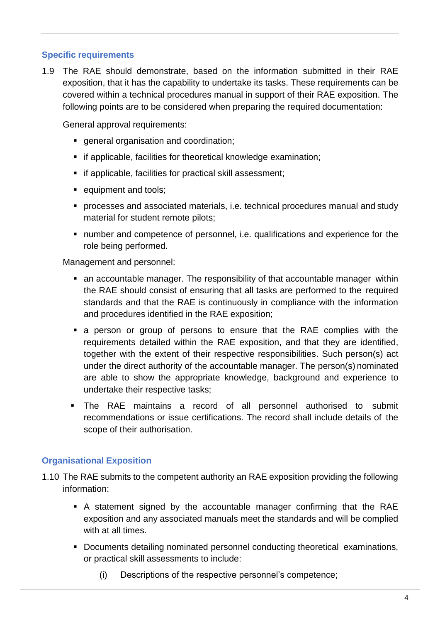## **Specific requirements**

1.9 The RAE should demonstrate, based on the information submitted in their RAE exposition, that it has the capability to undertake its tasks. These requirements can be covered within a technical procedures manual in support of their RAE exposition. The following points are to be considered when preparing the required documentation:

General approval requirements:

- general organisation and coordination;
- **if applicable, facilities for theoretical knowledge examination;**
- if applicable, facilities for practical skill assessment;
- **equipment and tools;**
- processes and associated materials, i.e. technical procedures manual and study material for student remote pilots;
- number and competence of personnel, i.e. qualifications and experience for the role being performed.

Management and personnel:

- an accountable manager. The responsibility of that accountable manager within the RAE should consist of ensuring that all tasks are performed to the required standards and that the RAE is continuously in compliance with the information and procedures identified in the RAE exposition;
- a person or group of persons to ensure that the RAE complies with the requirements detailed within the RAE exposition, and that they are identified, together with the extent of their respective responsibilities. Such person(s) act under the direct authority of the accountable manager. The person(s) nominated are able to show the appropriate knowledge, background and experience to undertake their respective tasks;
- The RAE maintains a record of all personnel authorised to submit recommendations or issue certifications. The record shall include details of the scope of their authorisation.

# **Organisational Exposition**

- 1.10 The RAE submits to the competent authority an RAE exposition providing the following information:
	- A statement signed by the accountable manager confirming that the RAE exposition and any associated manuals meet the standards and will be complied with at all times.
	- Documents detailing nominated personnel conducting theoretical examinations, or practical skill assessments to include:
		- (i) Descriptions of the respective personnel's competence;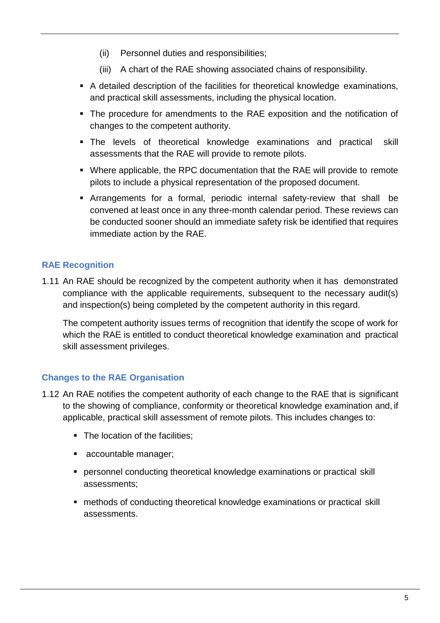- (ii) Personnel duties and responsibilities;
- (iii) A chart of the RAE showing associated chains of responsibility.
- A detailed description of the facilities for theoretical knowledge examinations, and practical skill assessments, including the physical location.
- The procedure for amendments to the RAE exposition and the notification of changes to the competent authority.
- The levels of theoretical knowledge examinations and practical skill assessments that the RAE will provide to remote pilots.
- Where applicable, the RPC documentation that the RAE will provide to remote pilots to include a physical representation of the proposed document.
- Arrangements for a formal, periodic internal safety-review that shall be convened at least once in any three-month calendar period. These reviews can be conducted sooner should an immediate safety risk be identified that requires immediate action by the RAE.

# **RAE Recognition**

1.11 An RAE should be recognized by the competent authority when it has demonstrated compliance with the applicable requirements, subsequent to the necessary audit(s) and inspection(s) being completed by the competent authority in this regard.

The competent authority issues terms of recognition that identify the scope of work for which the RAE is entitled to conduct theoretical knowledge examination and practical skill assessment privileges.

# **Changes to the RAE Organisation**

- 1.12 An RAE notifies the competent authority of each change to the RAE that is significant to the showing of compliance, conformity or theoretical knowledge examination and, if applicable, practical skill assessment of remote pilots. This includes changes to:
	- The location of the facilities:
	- accountable manager;
	- personnel conducting theoretical knowledge examinations or practical skill assessments;
	- methods of conducting theoretical knowledge examinations or practical skill assessments.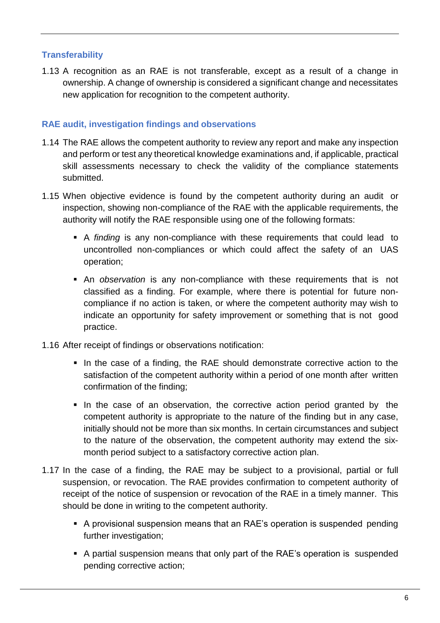# **Transferability**

1.13 A recognition as an RAE is not transferable, except as a result of a change in ownership. A change of ownership is considered a significant change and necessitates new application for recognition to the competent authority.

# **RAE audit, investigation findings and observations**

- 1.14 The RAE allows the competent authority to review any report and make any inspection and perform or test any theoretical knowledge examinations and, if applicable, practical skill assessments necessary to check the validity of the compliance statements submitted.
- 1.15 When objective evidence is found by the competent authority during an audit or inspection, showing non-compliance of the RAE with the applicable requirements, the authority will notify the RAE responsible using one of the following formats:
	- A *finding* is any non-compliance with these requirements that could lead to uncontrolled non-compliances or which could affect the safety of an UAS operation;
	- An *observation* is any non-compliance with these requirements that is not classified as a finding. For example, where there is potential for future noncompliance if no action is taken, or where the competent authority may wish to indicate an opportunity for safety improvement or something that is not good practice.
- 1.16 After receipt of findings or observations notification:
	- In the case of a finding, the RAE should demonstrate corrective action to the satisfaction of the competent authority within a period of one month after written confirmation of the finding;
	- In the case of an observation, the corrective action period granted by the competent authority is appropriate to the nature of the finding but in any case, initially should not be more than six months. In certain circumstances and subject to the nature of the observation, the competent authority may extend the sixmonth period subject to a satisfactory corrective action plan.
- 1.17 In the case of a finding, the RAE may be subject to a provisional, partial or full suspension, or revocation. The RAE provides confirmation to competent authority of receipt of the notice of suspension or revocation of the RAE in a timely manner. This should be done in writing to the competent authority.
	- A provisional suspension means that an RAE's operation is suspended pending further investigation;
	- A partial suspension means that only part of the RAE's operation is suspended pending corrective action;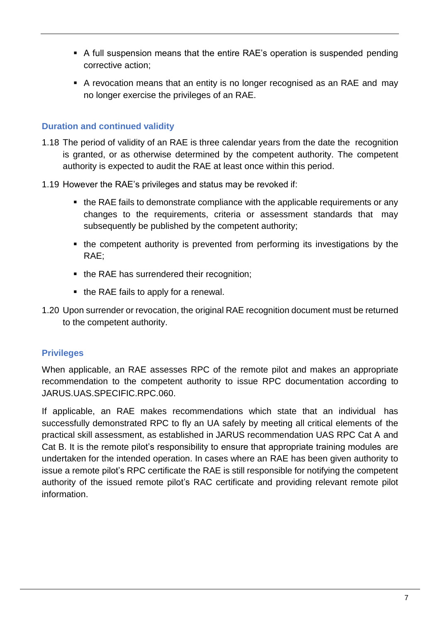- A full suspension means that the entire RAE's operation is suspended pending corrective action;
- A revocation means that an entity is no longer recognised as an RAE and may no longer exercise the privileges of an RAE.

## **Duration and continued validity**

- 1.18 The period of validity of an RAE is three calendar years from the date the recognition is granted, or as otherwise determined by the competent authority. The competent authority is expected to audit the RAE at least once within this period.
- 1.19 However the RAE's privileges and status may be revoked if:
	- the RAE fails to demonstrate compliance with the applicable requirements or any changes to the requirements, criteria or assessment standards that may subsequently be published by the competent authority;
	- the competent authority is prevented from performing its investigations by the RAE;
	- the RAE has surrendered their recognition;
	- the RAE fails to apply for a renewal.
- 1.20 Upon surrender or revocation, the original RAE recognition document must be returned to the competent authority.

# **Privileges**

When applicable, an RAE assesses RPC of the remote pilot and makes an appropriate recommendation to the competent authority to issue RPC documentation according to JARUS.UAS.SPECIFIC.RPC.060.

If applicable, an RAE makes recommendations which state that an individual has successfully demonstrated RPC to fly an UA safely by meeting all critical elements of the practical skill assessment, as established in JARUS recommendation UAS RPC Cat A and Cat B. It is the remote pilot's responsibility to ensure that appropriate training modules are undertaken for the intended operation. In cases where an RAE has been given authority to issue a remote pilot's RPC certificate the RAE is still responsible for notifying the competent authority of the issued remote pilot's RAC certificate and providing relevant remote pilot information.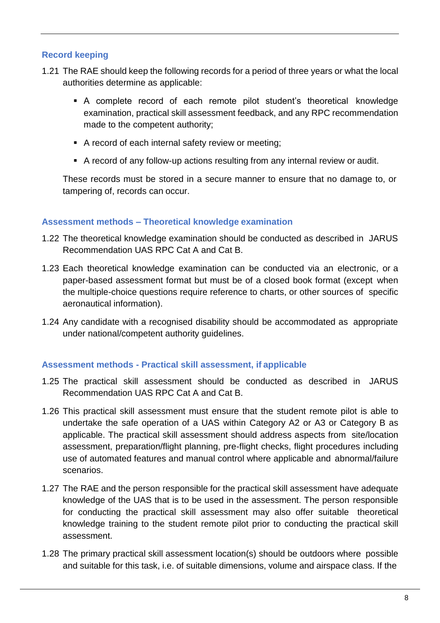## **Record keeping**

- 1.21 The RAE should keep the following records for a period of three years or what the local authorities determine as applicable:
	- A complete record of each remote pilot student's theoretical knowledge examination, practical skill assessment feedback, and any RPC recommendation made to the competent authority;
	- A record of each internal safety review or meeting;
	- A record of any follow-up actions resulting from any internal review or audit.

These records must be stored in a secure manner to ensure that no damage to, or tampering of, records can occur.

### **Assessment methods – Theoretical knowledge examination**

- 1.22 The theoretical knowledge examination should be conducted as described in JARUS Recommendation UAS RPC Cat A and Cat B.
- 1.23 Each theoretical knowledge examination can be conducted via an electronic, or a paper-based assessment format but must be of a closed book format (except when the multiple-choice questions require reference to charts, or other sources of specific aeronautical information).
- 1.24 Any candidate with a recognised disability should be accommodated as appropriate under national/competent authority guidelines.

### **Assessment methods - Practical skill assessment, if applicable**

- 1.25 The practical skill assessment should be conducted as described in JARUS Recommendation UAS RPC Cat A and Cat B.
- 1.26 This practical skill assessment must ensure that the student remote pilot is able to undertake the safe operation of a UAS within Category A2 or A3 or Category B as applicable. The practical skill assessment should address aspects from site/location assessment, preparation/flight planning, pre-flight checks, flight procedures including use of automated features and manual control where applicable and abnormal/failure scenarios.
- 1.27 The RAE and the person responsible for the practical skill assessment have adequate knowledge of the UAS that is to be used in the assessment. The person responsible for conducting the practical skill assessment may also offer suitable theoretical knowledge training to the student remote pilot prior to conducting the practical skill assessment.
- 1.28 The primary practical skill assessment location(s) should be outdoors where possible and suitable for this task, i.e. of suitable dimensions, volume and airspace class. If the